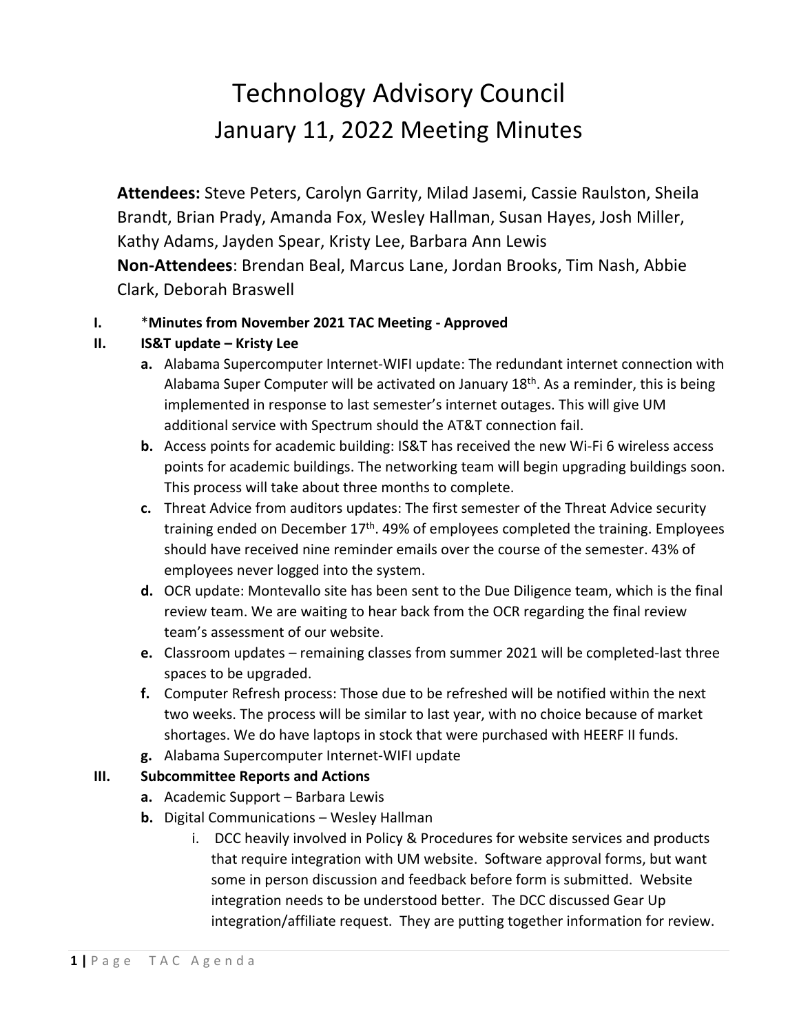## Technology Advisory Council January 11, 2022 Meeting Minutes

**Attendees:** Steve Peters, Carolyn Garrity, Milad Jasemi, Cassie Raulston, Sheila Brandt, Brian Prady, Amanda Fox, Wesley Hallman, Susan Hayes, Josh Miller, Kathy Adams, Jayden Spear, Kristy Lee, Barbara Ann Lewis **Non-Attendees**: Brendan Beal, Marcus Lane, Jordan Brooks, Tim Nash, Abbie Clark, Deborah Braswell

## **I.** \***Minutes from November 2021 TAC Meeting - Approved**

## **II. IS&T update – Kristy Lee**

- **a.** Alabama Supercomputer Internet-WIFI update: The redundant internet connection with Alabama Super Computer will be activated on January 18<sup>th</sup>. As a reminder, this is being implemented in response to last semester's internet outages. This will give UM additional service with Spectrum should the AT&T connection fail.
- **b.** Access points for academic building: IS&T has received the new Wi-Fi 6 wireless access points for academic buildings. The networking team will begin upgrading buildings soon. This process will take about three months to complete.
- **c.** Threat Advice from auditors updates: The first semester of the Threat Advice security training ended on December  $17<sup>th</sup>$ . 49% of employees completed the training. Employees should have received nine reminder emails over the course of the semester. 43% of employees never logged into the system.
- **d.** OCR update: Montevallo site has been sent to the Due Diligence team, which is the final review team. We are waiting to hear back from the OCR regarding the final review team's assessment of our website.
- **e.** Classroom updates remaining classes from summer 2021 will be completed-last three spaces to be upgraded.
- **f.** Computer Refresh process: Those due to be refreshed will be notified within the next two weeks. The process will be similar to last year, with no choice because of market shortages. We do have laptops in stock that were purchased with HEERF II funds.
- **g.** Alabama Supercomputer Internet-WIFI update

## **III. Subcommittee Reports and Actions**

- **a.** Academic Support Barbara Lewis
- **b.** Digital Communications Wesley Hallman
	- i. DCC heavily involved in Policy & Procedures for website services and products that require integration with UM website. Software approval forms, but want some in person discussion and feedback before form is submitted. Website integration needs to be understood better. The DCC discussed Gear Up integration/affiliate request. They are putting together information for review.